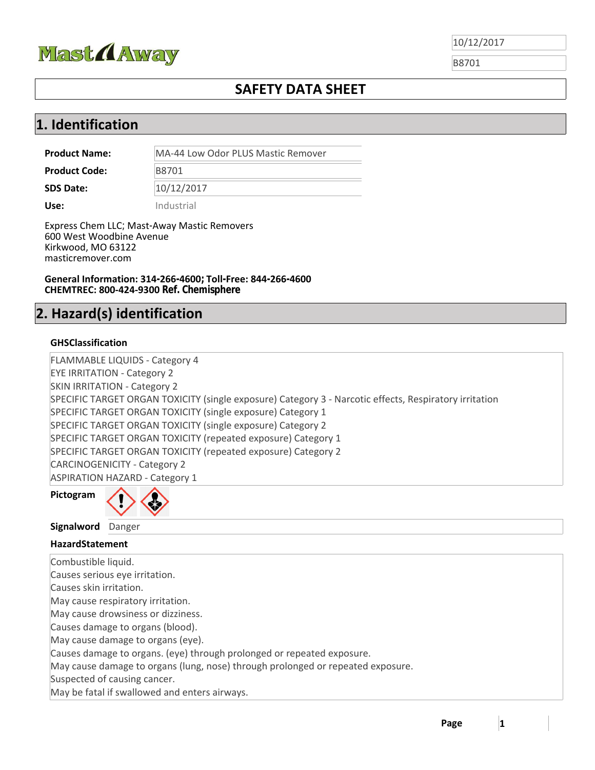

B8701

## **SAFETY DATA SHEET**

## **1. Identification**

**Product Name:** MA-44 Low Odor PLUS Mastic Remover

Product Code: B8701

**SDS Date:**  10/12/2017

**Use:** Industrial

Express Chem LLC; Mast-Away Mastic Removers 600 West Woodbine Avenue Kirkwood, MO 63122 masticremover.com

**General Information: 314-266-4600; Toll-Free: 844-266-4600 CHEMTREC: 800‐424‐9300 Ref. Chemisphere**

# **2. Hazard(s) identification**

#### **GHSClassification**

FLAMMABLE LIQUIDS ‐ Category 4 EYE IRRITATION ‐ Category 2 SKIN IRRITATION ‐ Category 2 SPECIFIC TARGET ORGAN TOXICITY (single exposure) Category 3 ‐ Narcotic effects, Respiratory irritation SPECIFIC TARGET ORGAN TOXICITY (single exposure) Category 1 SPECIFIC TARGET ORGAN TOXICITY (single exposure) Category 2 SPECIFIC TARGET ORGAN TOXICITY (repeated exposure) Category 1 SPECIFIC TARGET ORGAN TOXICITY (repeated exposure) Category 2 CARCINOGENICITY ‐ Category 2 ASPIRATION HAZARD ‐ Category 1

**Pictogram**



**Signalword** Danger

| $JII$ SHUIVVUIU DUIISCI                                                         |
|---------------------------------------------------------------------------------|
| <b>HazardStatement</b>                                                          |
| Combustible liquid.                                                             |
| Causes serious eye irritation.                                                  |
| Causes skin irritation.                                                         |
| May cause respiratory irritation.                                               |
| May cause drowsiness or dizziness.                                              |
| Causes damage to organs (blood).                                                |
| May cause damage to organs (eye).                                               |
| Causes damage to organs. (eye) through prolonged or repeated exposure.          |
| May cause damage to organs (lung, nose) through prolonged or repeated exposure. |
| Suspected of causing cancer.                                                    |
| May be fatal if swallowed and enters airways.                                   |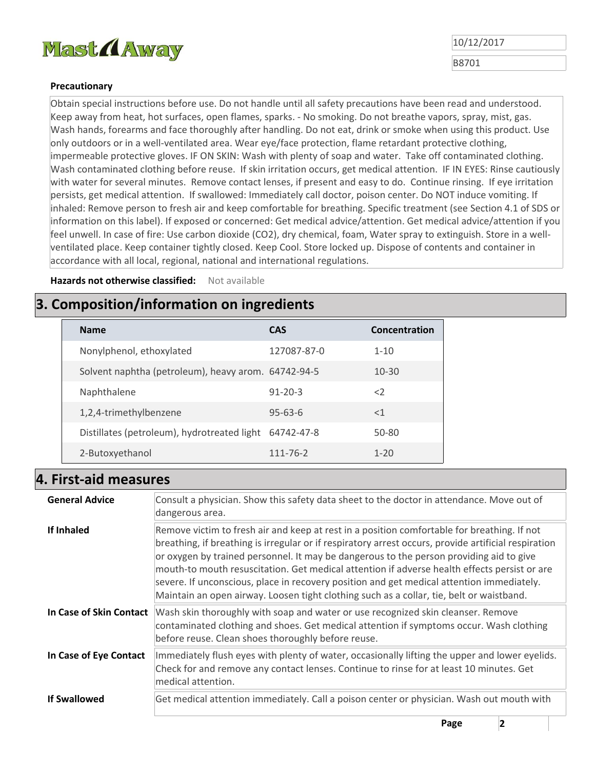

B8701

#### **Precautionary**

Obtain special instructions before use. Do not handle until all safety precautions have been read and understood. Keep away from heat, hot surfaces, open flames, sparks. ‐ No smoking. Do not breathe vapors, spray, mist, gas. Wash hands, forearms and face thoroughly after handling. Do not eat, drink or smoke when using this product. Use only outdoors or in a well-ventilated area. Wear eye/face protection, flame retardant protective clothing, impermeable protective gloves. IF ON SKIN: Wash with plenty of soap and water. Take off contaminated clothing. Wash contaminated clothing before reuse. If skin irritation occurs, get medical attention. IF IN EYES: Rinse cautiously with water for several minutes. Remove contact lenses, if present and easy to do. Continue rinsing. If eye irritation persists, get medical attention. If swallowed: Immediately call doctor, poison center. Do NOT induce vomiting. If inhaled: Remove person to fresh air and keep comfortable for breathing. Specific treatment (see Section 4.1 of SDS or information on this label). If exposed or concerned: Get medical advice/attention. Get medical advice/attention if you feel unwell. In case of fire: Use carbon dioxide (CO2), dry chemical, foam, Water spray to extinguish. Store in a wellventilated place. Keep container tightly closed. Keep Cool. Store locked up. Dispose of contents and container in accordance with all local, regional, national and international regulations.

**Hazards not otherwise classified:**  Not available

## **3. Composition/information on ingredients**

| <b>Name</b>                                         | <b>CAS</b>     | Concentration |
|-----------------------------------------------------|----------------|---------------|
| Nonylphenol, ethoxylated                            | 127087-87-0    | $1 - 10$      |
| Solvent naphtha (petroleum), heavy arom. 64742-94-5 |                | $10 - 30$     |
| Naphthalene                                         | $91 - 20 - 3$  | $\langle$     |
| 1,2,4-trimethylbenzene                              | $95 - 63 - 6$  | $<$ 1         |
| Distillates (petroleum), hydrotreated light         | 64742-47-8     | 50-80         |
| 2-Butoxyethanol                                     | $111 - 76 - 2$ | $1 - 20$      |

#### **4. First‐aid measures**

| <b>General Advice</b>   | Consult a physician. Show this safety data sheet to the doctor in attendance. Move out of<br>dangerous area.                                                                                                                                                                                                                                                                                                                                                                                                                                                                            |  |
|-------------------------|-----------------------------------------------------------------------------------------------------------------------------------------------------------------------------------------------------------------------------------------------------------------------------------------------------------------------------------------------------------------------------------------------------------------------------------------------------------------------------------------------------------------------------------------------------------------------------------------|--|
| If Inhaled              | Remove victim to fresh air and keep at rest in a position comfortable for breathing. If not<br>breathing, if breathing is irregular or if respiratory arrest occurs, provide artificial respiration<br>or oxygen by trained personnel. It may be dangerous to the person providing aid to give<br>mouth-to mouth resuscitation. Get medical attention if adverse health effects persist or are<br>severe. If unconscious, place in recovery position and get medical attention immediately.<br>Maintain an open airway. Loosen tight clothing such as a collar, tie, belt or waistband. |  |
| In Case of Skin Contact | Wash skin thoroughly with soap and water or use recognized skin cleanser. Remove<br>contaminated clothing and shoes. Get medical attention if symptoms occur. Wash clothing<br>before reuse. Clean shoes thoroughly before reuse.                                                                                                                                                                                                                                                                                                                                                       |  |
| In Case of Eye Contact  | Immediately flush eyes with plenty of water, occasionally lifting the upper and lower eyelids.<br>Check for and remove any contact lenses. Continue to rinse for at least 10 minutes. Get<br>medical attention.                                                                                                                                                                                                                                                                                                                                                                         |  |
| <b>If Swallowed</b>     | Get medical attention immediately. Call a poison center or physician. Wash out mouth with                                                                                                                                                                                                                                                                                                                                                                                                                                                                                               |  |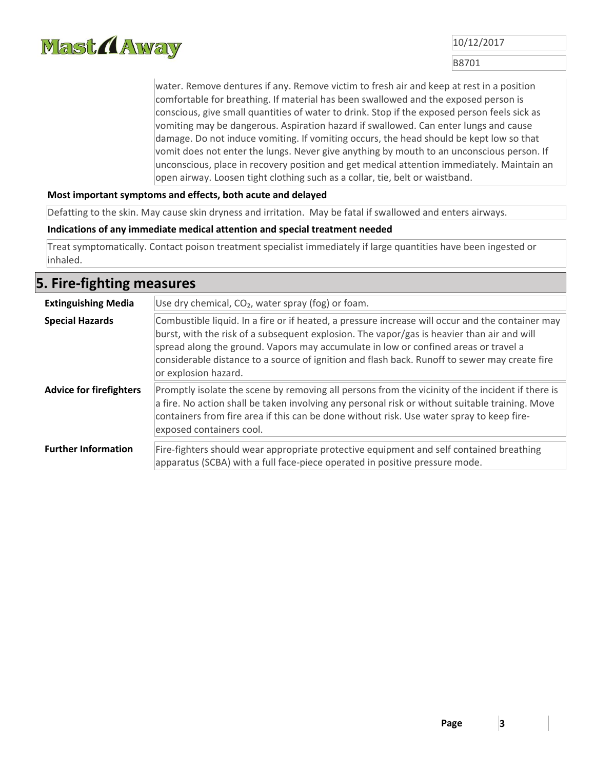

B8701

water. Remove dentures if any. Remove victim to fresh air and keep at rest in a position comfortable for breathing. If material has been swallowed and the exposed person is conscious, give small quantities of water to drink. Stop if the exposed person feels sick as vomiting may be dangerous. Aspiration hazard if swallowed. Can enter lungs and cause damage. Do not induce vomiting. If vomiting occurs, the head should be kept low so that vomit does not enter the lungs. Never give anything by mouth to an unconscious person. If unconscious, place in recovery position and get medical attention immediately. Maintain an open airway. Loosen tight clothing such as a collar, tie, belt or waistband.

#### **Most important symptoms and effects, both acute and delayed**

Defatting to the skin. May cause skin dryness and irritation. May be fatal if swallowed and enters airways.

#### **Indications of any immediate medical attention and special treatment needed**

Treat symptomatically. Contact poison treatment specialist immediately if large quantities have been ingested or inhaled.

#### **5. Fire‐fighting measures**

| Use dry chemical, CO <sub>2</sub> , water spray (fog) or foam.<br><b>Extinguishing Media</b> |                                                                                                                                                                                                                                                                                                                                                                                                                |  |  |
|----------------------------------------------------------------------------------------------|----------------------------------------------------------------------------------------------------------------------------------------------------------------------------------------------------------------------------------------------------------------------------------------------------------------------------------------------------------------------------------------------------------------|--|--|
| <b>Special Hazards</b>                                                                       | Combustible liquid. In a fire or if heated, a pressure increase will occur and the container may<br>burst, with the risk of a subsequent explosion. The vapor/gas is heavier than air and will<br>spread along the ground. Vapors may accumulate in low or confined areas or travel a<br>considerable distance to a source of ignition and flash back. Runoff to sewer may create fire<br>or explosion hazard. |  |  |
| <b>Advice for firefighters</b>                                                               | Promptly isolate the scene by removing all persons from the vicinity of the incident if there is<br>a fire. No action shall be taken involving any personal risk or without suitable training. Move<br>containers from fire area if this can be done without risk. Use water spray to keep fire-<br>exposed containers cool.                                                                                   |  |  |
| <b>Further Information</b>                                                                   | Fire-fighters should wear appropriate protective equipment and self contained breathing<br>apparatus (SCBA) with a full face-piece operated in positive pressure mode.                                                                                                                                                                                                                                         |  |  |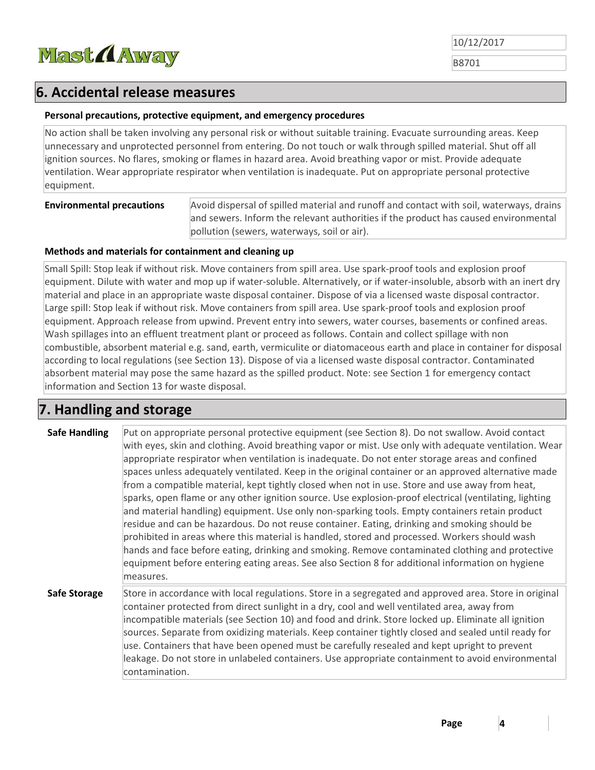

B8701

### **6. Accidental release measures**

#### **Personal precautions, protective equipment, and emergency procedures**

No action shall be taken involving any personal risk or without suitable training. Evacuate surrounding areas. Keep unnecessary and unprotected personnel from entering. Do not touch or walk through spilled material. Shut off all ignition sources. No flares, smoking or flames in hazard area. Avoid breathing vapor or mist. Provide adequate ventilation. Wear appropriate respirator when ventilation is inadequate. Put on appropriate personal protective equipment.

**Environmental precautions** Avoid dispersal of spilled material and runoff and contact with soil, waterways, drains and sewers. Inform the relevant authorities if the product has caused environmental pollution (sewers, waterways, soil or air).

#### **Methods and materials for containment and cleaning up**

Small Spill: Stop leak if without risk. Move containers from spill area. Use spark‐proof tools and explosion proof equipment. Dilute with water and mop up if water‐soluble. Alternatively, or if water‐insoluble, absorb with an inert dry material and place in an appropriate waste disposal container. Dispose of via a licensed waste disposal contractor. Large spill: Stop leak if without risk. Move containers from spill area. Use spark‐proof tools and explosion proof equipment. Approach release from upwind. Prevent entry into sewers, water courses, basements or confined areas. Wash spillages into an effluent treatment plant or proceed as follows. Contain and collect spillage with non combustible, absorbent material e.g. sand, earth, vermiculite or diatomaceous earth and place in container for disposal according to local regulations (see Section 13). Dispose of via a licensed waste disposal contractor. Contaminated absorbent material may pose the same hazard as the spilled product. Note: see Section 1 for emergency contact information and Section 13 for waste disposal.

## **7. Handling and storage**

| <b>Safe Handling</b> | Put on appropriate personal protective equipment (see Section 8). Do not swallow. Avoid contact<br>with eyes, skin and clothing. Avoid breathing vapor or mist. Use only with adequate ventilation. Wear<br>appropriate respirator when ventilation is inadequate. Do not enter storage areas and confined<br>spaces unless adequately ventilated. Keep in the original container or an approved alternative made<br>from a compatible material, kept tightly closed when not in use. Store and use away from heat,<br>sparks, open flame or any other ignition source. Use explosion-proof electrical (ventilating, lighting<br>and material handling) equipment. Use only non-sparking tools. Empty containers retain product<br>residue and can be hazardous. Do not reuse container. Eating, drinking and smoking should be<br>prohibited in areas where this material is handled, stored and processed. Workers should wash<br>hands and face before eating, drinking and smoking. Remove contaminated clothing and protective<br>equipment before entering eating areas. See also Section 8 for additional information on hygiene<br>measures. |
|----------------------|------------------------------------------------------------------------------------------------------------------------------------------------------------------------------------------------------------------------------------------------------------------------------------------------------------------------------------------------------------------------------------------------------------------------------------------------------------------------------------------------------------------------------------------------------------------------------------------------------------------------------------------------------------------------------------------------------------------------------------------------------------------------------------------------------------------------------------------------------------------------------------------------------------------------------------------------------------------------------------------------------------------------------------------------------------------------------------------------------------------------------------------------------|
| <b>Safe Storage</b>  | Store in accordance with local regulations. Store in a segregated and approved area. Store in original<br>container protected from direct sunlight in a dry, cool and well ventilated area, away from<br>incompatible materials (see Section 10) and food and drink. Store locked up. Eliminate all ignition<br>sources. Separate from oxidizing materials. Keep container tightly closed and sealed until ready for<br>use. Containers that have been opened must be carefully resealed and kept upright to prevent<br>leakage. Do not store in unlabeled containers. Use appropriate containment to avoid environmental<br>contamination.                                                                                                                                                                                                                                                                                                                                                                                                                                                                                                          |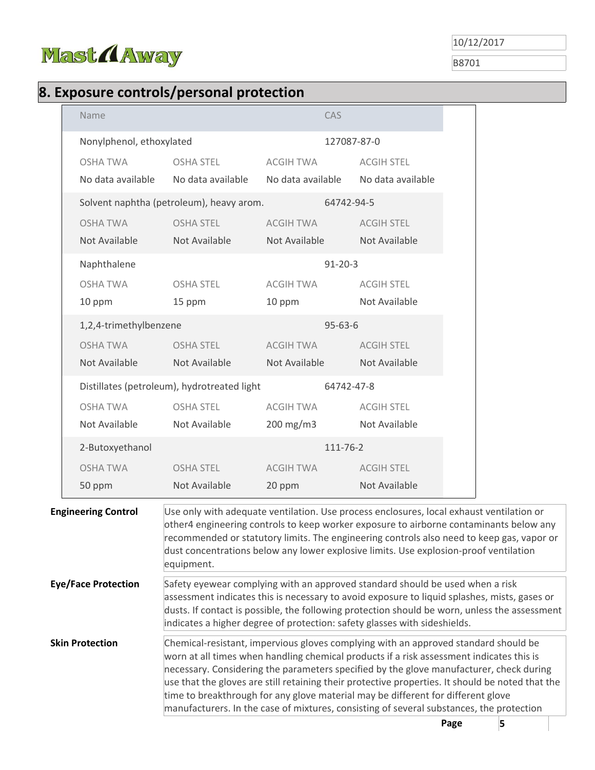

B8701

# **8. Exposure controls/personal protection**

| Name                                 |                                             | <b>CAS</b>                               |                                                                                                                                                                                                                                                                                                                                                                                                                                                                                                                                                                |      |   |  |
|--------------------------------------|---------------------------------------------|------------------------------------------|----------------------------------------------------------------------------------------------------------------------------------------------------------------------------------------------------------------------------------------------------------------------------------------------------------------------------------------------------------------------------------------------------------------------------------------------------------------------------------------------------------------------------------------------------------------|------|---|--|
| Nonylphenol, ethoxylated             |                                             |                                          | 127087-87-0                                                                                                                                                                                                                                                                                                                                                                                                                                                                                                                                                    |      |   |  |
| <b>OSHA TWA</b><br>No data available | <b>OSHA STEL</b><br>No data available       | ACGIH TWA                                | <b>ACGIH STEL</b><br>No data available No data available                                                                                                                                                                                                                                                                                                                                                                                                                                                                                                       |      |   |  |
|                                      | Solvent naphtha (petroleum), heavy arom.    |                                          | 64742-94-5                                                                                                                                                                                                                                                                                                                                                                                                                                                                                                                                                     |      |   |  |
| <b>OSHA TWA</b><br>Not Available     | <b>OSHA STEL</b><br>Not Available           | <b>ACGIH TWA</b><br>Not Available        | <b>ACGIH STEL</b><br>Not Available                                                                                                                                                                                                                                                                                                                                                                                                                                                                                                                             |      |   |  |
| Naphthalene                          |                                             |                                          | $91 - 20 - 3$                                                                                                                                                                                                                                                                                                                                                                                                                                                                                                                                                  |      |   |  |
| OSHA TWA<br>10 ppm                   | <b>OSHA STEL</b><br>15 ppm                  | ACGIH TWA<br>10 ppm                      | <b>ACGIH STEL</b><br>Not Available                                                                                                                                                                                                                                                                                                                                                                                                                                                                                                                             |      |   |  |
| 1,2,4-trimethylbenzene               |                                             |                                          | $95 - 63 - 6$                                                                                                                                                                                                                                                                                                                                                                                                                                                                                                                                                  |      |   |  |
| <b>OSHA TWA</b><br>Not Available     | <b>OSHA STEL</b><br>Not Available           | ACGIH TWA<br>Not Available               | <b>ACGIH STEL</b><br>Not Available                                                                                                                                                                                                                                                                                                                                                                                                                                                                                                                             |      |   |  |
|                                      | Distillates (petroleum), hydrotreated light |                                          | 64742-47-8                                                                                                                                                                                                                                                                                                                                                                                                                                                                                                                                                     |      |   |  |
| <b>OSHA TWA</b><br>Not Available     | <b>OSHA STEL</b><br>Not Available           | <b>ACGIH TWA</b><br>$200 \text{ mg/m}$ 3 | <b>ACGIH STEL</b><br>Not Available                                                                                                                                                                                                                                                                                                                                                                                                                                                                                                                             |      |   |  |
| 2-Butoxyethanol                      |                                             |                                          | 111-76-2                                                                                                                                                                                                                                                                                                                                                                                                                                                                                                                                                       |      |   |  |
| <b>OSHA TWA</b>                      | <b>OSHA STEL</b>                            | <b>ACGIH TWA</b>                         | <b>ACGIH STEL</b>                                                                                                                                                                                                                                                                                                                                                                                                                                                                                                                                              |      |   |  |
| 50 ppm                               | Not Available                               | 20 ppm                                   | Not Available                                                                                                                                                                                                                                                                                                                                                                                                                                                                                                                                                  |      |   |  |
| <b>Engineering Control</b>           | equipment.                                  |                                          | Use only with adequate ventilation. Use process enclosures, local exhaust ventilation or<br>other4 engineering controls to keep worker exposure to airborne contaminants below any<br>recommended or statutory limits. The engineering controls also need to keep gas, vapor or<br>dust concentrations below any lower explosive limits. Use explosion-proof ventilation                                                                                                                                                                                       |      |   |  |
| <b>Eye/Face Protection</b>           |                                             |                                          | Safety eyewear complying with an approved standard should be used when a risk<br>assessment indicates this is necessary to avoid exposure to liquid splashes, mists, gases or<br>dusts. If contact is possible, the following protection should be worn, unless the assessment<br>indicates a higher degree of protection: safety glasses with sideshields.                                                                                                                                                                                                    |      |   |  |
| <b>Skin Protection</b>               |                                             |                                          | Chemical-resistant, impervious gloves complying with an approved standard should be<br>worn at all times when handling chemical products if a risk assessment indicates this is<br>necessary. Considering the parameters specified by the glove manufacturer, check during<br>use that the gloves are still retaining their protective properties. It should be noted that the<br>time to breakthrough for any glove material may be different for different glove<br>manufacturers. In the case of mixtures, consisting of several substances, the protection |      |   |  |
|                                      |                                             |                                          |                                                                                                                                                                                                                                                                                                                                                                                                                                                                                                                                                                | Page | 5 |  |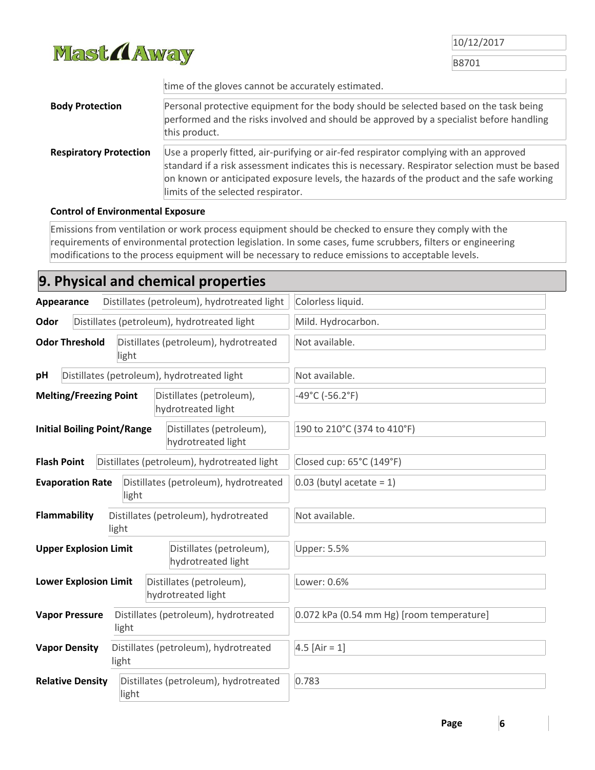

B8701

|                               | time of the gloves cannot be accurately estimated.                                                                                                                                                                                                                                                                       |  |  |  |
|-------------------------------|--------------------------------------------------------------------------------------------------------------------------------------------------------------------------------------------------------------------------------------------------------------------------------------------------------------------------|--|--|--|
| <b>Body Protection</b>        | Personal protective equipment for the body should be selected based on the task being<br>performed and the risks involved and should be approved by a specialist before handling<br>this product.                                                                                                                        |  |  |  |
| <b>Respiratory Protection</b> | Use a properly fitted, air-purifying or air-fed respirator complying with an approved<br>standard if a risk assessment indicates this is necessary. Respirator selection must be based<br>on known or anticipated exposure levels, the hazards of the product and the safe working<br>limits of the selected respirator. |  |  |  |

#### **Control of Environmental Exposure**

Emissions from ventilation or work process equipment should be checked to ensure they comply with the requirements of environmental protection legislation. In some cases, fume scrubbers, filters or engineering modifications to the process equipment will be necessary to reduce emissions to acceptable levels.

# **9. Physical and chemical properties**

| Distillates (petroleum), hydrotreated light<br>Appearance                            |  |                                                | Colorless liquid.                         |
|--------------------------------------------------------------------------------------|--|------------------------------------------------|-------------------------------------------|
| Odor                                                                                 |  | Distillates (petroleum), hydrotreated light    | Mild. Hydrocarbon.                        |
| <b>Odor Threshold</b><br>Distillates (petroleum), hydrotreated<br>light              |  |                                                | Not available.                            |
| pH                                                                                   |  | Distillates (petroleum), hydrotreated light    | Not available.                            |
| <b>Melting/Freezing Point</b><br>Distillates (petroleum),<br>hydrotreated light      |  |                                                | $-49^{\circ}$ C (-56.2 $^{\circ}$ F)      |
| <b>Initial Boiling Point/Range</b><br>Distillates (petroleum),<br>hydrotreated light |  |                                                | 190 to 210°C (374 to 410°F)               |
| <b>Flash Point</b>                                                                   |  | Distillates (petroleum), hydrotreated light    | Closed cup: 65°C (149°F)                  |
| <b>Evaporation Rate</b><br>Distillates (petroleum), hydrotreated<br>light            |  |                                                | $0.03$ (butyl acetate = 1)                |
| <b>Flammability</b><br>Distillates (petroleum), hydrotreated<br>light                |  |                                                | Not available.                            |
| <b>Upper Explosion Limit</b>                                                         |  | Distillates (petroleum),<br>hydrotreated light | <b>Upper: 5.5%</b>                        |
| <b>Lower Explosion Limit</b>                                                         |  | Distillates (petroleum),<br>hydrotreated light | Lower: 0.6%                               |
| Distillates (petroleum), hydrotreated<br><b>Vapor Pressure</b><br>light              |  |                                                | 0.072 kPa (0.54 mm Hg) [room temperature] |
| Distillates (petroleum), hydrotreated<br><b>Vapor Density</b><br>light               |  |                                                | 4.5 [Air = $1$ ]                          |
| Distillates (petroleum), hydrotreated<br><b>Relative Density</b><br>light            |  |                                                | 0.783                                     |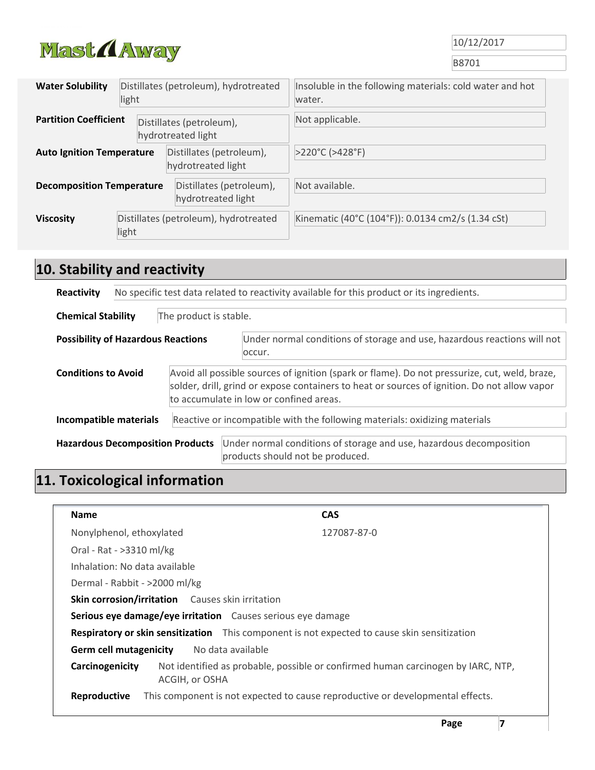

B8701

| Distillates (petroleum), hydrotreated<br><b>Water Solubility</b><br>light |  |                                                | Insoluble in the following materials: cold water and hot<br>water. |
|---------------------------------------------------------------------------|--|------------------------------------------------|--------------------------------------------------------------------|
| <b>Partition Coefficient</b>                                              |  | Distillates (petroleum),<br>hydrotreated light | Not applicable.                                                    |
| <b>Auto Ignition Temperature</b>                                          |  | Distillates (petroleum),<br>hydrotreated light | >220°C (>428°F)                                                    |
| <b>Decomposition Temperature</b>                                          |  | Distillates (petroleum),<br>hydrotreated light | Not available.                                                     |
| Distillates (petroleum), hydrotreated<br><b>Viscosity</b><br>light        |  |                                                | Kinematic (40°C (104°F)): 0.0134 cm2/s (1.34 cSt)                  |

# **10. Stability and reactivity**

| No specific test data related to reactivity available for this product or its ingredients.<br>Reactivity                                                                                                                                                               |  |                                                                                                         |  |  |  |
|------------------------------------------------------------------------------------------------------------------------------------------------------------------------------------------------------------------------------------------------------------------------|--|---------------------------------------------------------------------------------------------------------|--|--|--|
| The product is stable.<br><b>Chemical Stability</b>                                                                                                                                                                                                                    |  |                                                                                                         |  |  |  |
| Under normal conditions of storage and use, hazardous reactions will not<br><b>Possibility of Hazardous Reactions</b><br>occur.                                                                                                                                        |  |                                                                                                         |  |  |  |
| Avoid all possible sources of ignition (spark or flame). Do not pressurize, cut, weld, braze,<br><b>Conditions to Avoid</b><br>solder, drill, grind or expose containers to heat or sources of ignition. Do not allow vapor<br>to accumulate in low or confined areas. |  |                                                                                                         |  |  |  |
| Reactive or incompatible with the following materials: oxidizing materials<br>Incompatible materials                                                                                                                                                                   |  |                                                                                                         |  |  |  |
| <b>Hazardous Decomposition Products</b>                                                                                                                                                                                                                                |  | Under normal conditions of storage and use, hazardous decomposition<br>products should not be produced. |  |  |  |

# **11. Toxicological information**

| Name                                                                                         |                                                             | <b>CAS</b>                                                                       |  |  |  |
|----------------------------------------------------------------------------------------------|-------------------------------------------------------------|----------------------------------------------------------------------------------|--|--|--|
| Nonylphenol, ethoxylated                                                                     |                                                             | 127087-87-0                                                                      |  |  |  |
| Oral - Rat - >3310 ml/kg                                                                     |                                                             |                                                                                  |  |  |  |
| Inhalation: No data available                                                                |                                                             |                                                                                  |  |  |  |
| Dermal - Rabbit - >2000 ml/kg                                                                |                                                             |                                                                                  |  |  |  |
|                                                                                              | Skin corrosion/irritation Causes skin irritation            |                                                                                  |  |  |  |
|                                                                                              | Serious eye damage/eye irritation Causes serious eye damage |                                                                                  |  |  |  |
| Respiratory or skin sensitization This component is not expected to cause skin sensitization |                                                             |                                                                                  |  |  |  |
| No data available<br><b>Germ cell mutagenicity</b>                                           |                                                             |                                                                                  |  |  |  |
| Carcinogenicity                                                                              | ACGIH, or OSHA                                              | Not identified as probable, possible or confirmed human carcinogen by IARC, NTP, |  |  |  |
| Reproductive                                                                                 |                                                             | This component is not expected to cause reproductive or developmental effects.   |  |  |  |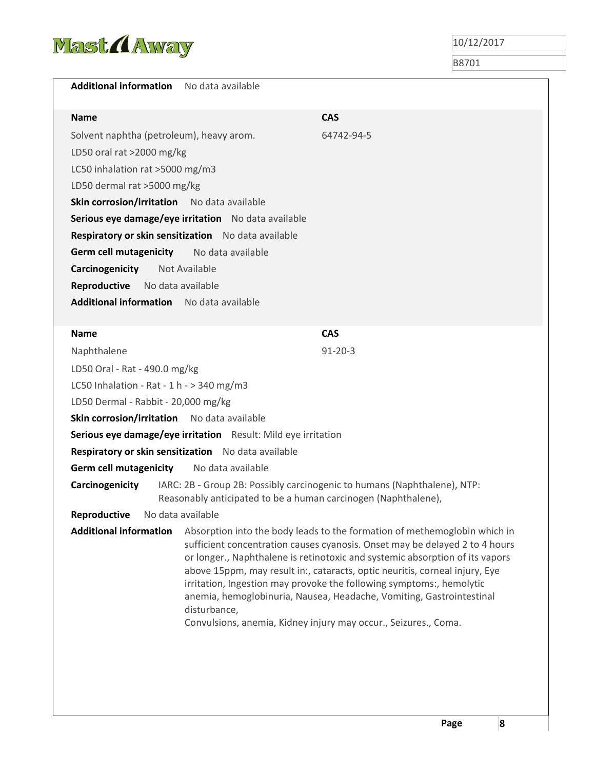

| No data available                                                                                                                                             |                                                                                                                                                                                                                                                                                                                                                                                                                                                                                                                                            |  |  |  |
|---------------------------------------------------------------------------------------------------------------------------------------------------------------|--------------------------------------------------------------------------------------------------------------------------------------------------------------------------------------------------------------------------------------------------------------------------------------------------------------------------------------------------------------------------------------------------------------------------------------------------------------------------------------------------------------------------------------------|--|--|--|
|                                                                                                                                                               | <b>CAS</b>                                                                                                                                                                                                                                                                                                                                                                                                                                                                                                                                 |  |  |  |
| Solvent naphtha (petroleum), heavy arom.                                                                                                                      | 64742-94-5                                                                                                                                                                                                                                                                                                                                                                                                                                                                                                                                 |  |  |  |
| LD50 oral rat >2000 mg/kg                                                                                                                                     |                                                                                                                                                                                                                                                                                                                                                                                                                                                                                                                                            |  |  |  |
| LC50 inhalation rat >5000 mg/m3                                                                                                                               |                                                                                                                                                                                                                                                                                                                                                                                                                                                                                                                                            |  |  |  |
| LD50 dermal rat >5000 mg/kg                                                                                                                                   |                                                                                                                                                                                                                                                                                                                                                                                                                                                                                                                                            |  |  |  |
| Skin corrosion/irritation No data available                                                                                                                   |                                                                                                                                                                                                                                                                                                                                                                                                                                                                                                                                            |  |  |  |
| Serious eye damage/eye irritation No data available                                                                                                           |                                                                                                                                                                                                                                                                                                                                                                                                                                                                                                                                            |  |  |  |
| Respiratory or skin sensitization No data available                                                                                                           |                                                                                                                                                                                                                                                                                                                                                                                                                                                                                                                                            |  |  |  |
| No data available                                                                                                                                             |                                                                                                                                                                                                                                                                                                                                                                                                                                                                                                                                            |  |  |  |
| Not Available                                                                                                                                                 |                                                                                                                                                                                                                                                                                                                                                                                                                                                                                                                                            |  |  |  |
| No data available                                                                                                                                             |                                                                                                                                                                                                                                                                                                                                                                                                                                                                                                                                            |  |  |  |
| <b>Additional information</b> No data available                                                                                                               |                                                                                                                                                                                                                                                                                                                                                                                                                                                                                                                                            |  |  |  |
|                                                                                                                                                               |                                                                                                                                                                                                                                                                                                                                                                                                                                                                                                                                            |  |  |  |
|                                                                                                                                                               | <b>CAS</b>                                                                                                                                                                                                                                                                                                                                                                                                                                                                                                                                 |  |  |  |
|                                                                                                                                                               | $91 - 20 - 3$                                                                                                                                                                                                                                                                                                                                                                                                                                                                                                                              |  |  |  |
| LD50 Oral - Rat - 490.0 mg/kg                                                                                                                                 |                                                                                                                                                                                                                                                                                                                                                                                                                                                                                                                                            |  |  |  |
| LC50 Inhalation - Rat - 1 h - $>$ 340 mg/m3                                                                                                                   |                                                                                                                                                                                                                                                                                                                                                                                                                                                                                                                                            |  |  |  |
| LD50 Dermal - Rabbit - 20,000 mg/kg                                                                                                                           |                                                                                                                                                                                                                                                                                                                                                                                                                                                                                                                                            |  |  |  |
| Skin corrosion/irritation No data available                                                                                                                   |                                                                                                                                                                                                                                                                                                                                                                                                                                                                                                                                            |  |  |  |
| Serious eye damage/eye irritation Result: Mild eye irritation                                                                                                 |                                                                                                                                                                                                                                                                                                                                                                                                                                                                                                                                            |  |  |  |
| Respiratory or skin sensitization No data available                                                                                                           |                                                                                                                                                                                                                                                                                                                                                                                                                                                                                                                                            |  |  |  |
| No data available                                                                                                                                             |                                                                                                                                                                                                                                                                                                                                                                                                                                                                                                                                            |  |  |  |
| IARC: 2B - Group 2B: Possibly carcinogenic to humans (Naphthalene), NTP:<br>Carcinogenicity<br>Reasonably anticipated to be a human carcinogen (Naphthalene), |                                                                                                                                                                                                                                                                                                                                                                                                                                                                                                                                            |  |  |  |
| Reproductive No data available                                                                                                                                |                                                                                                                                                                                                                                                                                                                                                                                                                                                                                                                                            |  |  |  |
| disturbance,                                                                                                                                                  | Absorption into the body leads to the formation of methemoglobin which in<br>sufficient concentration causes cyanosis. Onset may be delayed 2 to 4 hours<br>or longer., Naphthalene is retinotoxic and systemic absorption of its vapors<br>above 15ppm, may result in:, cataracts, optic neuritis, corneal injury, Eye<br>irritation, Ingestion may provoke the following symptoms:, hemolytic<br>anemia, hemoglobinuria, Nausea, Headache, Vomiting, Gastrointestinal<br>Convulsions, anemia, Kidney injury may occur., Seizures., Coma. |  |  |  |
|                                                                                                                                                               |                                                                                                                                                                                                                                                                                                                                                                                                                                                                                                                                            |  |  |  |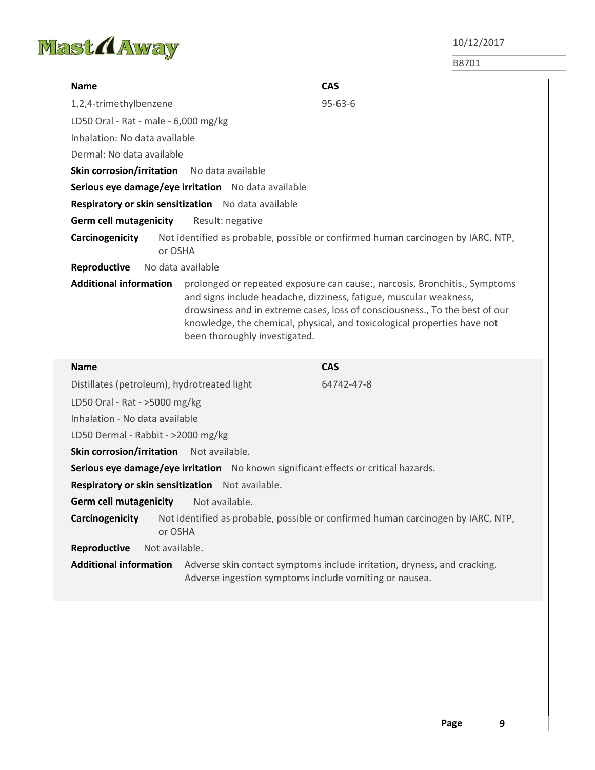

| <b>Name</b>                                      | <b>CAS</b>                                                                                                                                                                                                                                                                                                                                   |  |  |
|--------------------------------------------------|----------------------------------------------------------------------------------------------------------------------------------------------------------------------------------------------------------------------------------------------------------------------------------------------------------------------------------------------|--|--|
| 1,2,4-trimethylbenzene                           | $95 - 63 - 6$                                                                                                                                                                                                                                                                                                                                |  |  |
| LD50 Oral - Rat - male - 6,000 mg/kg             |                                                                                                                                                                                                                                                                                                                                              |  |  |
| Inhalation: No data available                    |                                                                                                                                                                                                                                                                                                                                              |  |  |
| Dermal: No data available                        |                                                                                                                                                                                                                                                                                                                                              |  |  |
| <b>Skin corrosion/irritation</b>                 | No data available                                                                                                                                                                                                                                                                                                                            |  |  |
|                                                  | Serious eye damage/eye irritation No data available                                                                                                                                                                                                                                                                                          |  |  |
|                                                  | Respiratory or skin sensitization No data available                                                                                                                                                                                                                                                                                          |  |  |
| <b>Germ cell mutagenicity</b>                    | Result: negative                                                                                                                                                                                                                                                                                                                             |  |  |
| Carcinogenicity<br>or OSHA                       | Not identified as probable, possible or confirmed human carcinogen by IARC, NTP,                                                                                                                                                                                                                                                             |  |  |
| Reproductive                                     | No data available                                                                                                                                                                                                                                                                                                                            |  |  |
| <b>Additional information</b>                    | prolonged or repeated exposure can cause:, narcosis, Bronchitis., Symptoms<br>and signs include headache, dizziness, fatigue, muscular weakness,<br>drowsiness and in extreme cases, loss of consciousness., To the best of our<br>knowledge, the chemical, physical, and toxicological properties have not<br>been thoroughly investigated. |  |  |
| <b>Name</b>                                      | <b>CAS</b>                                                                                                                                                                                                                                                                                                                                   |  |  |
| Distillates (petroleum), hydrotreated light      | 64742-47-8                                                                                                                                                                                                                                                                                                                                   |  |  |
| LD50 Oral - Rat - >5000 mg/kg                    |                                                                                                                                                                                                                                                                                                                                              |  |  |
|                                                  | Inhalation - No data available                                                                                                                                                                                                                                                                                                               |  |  |
| LD50 Dermal - Rabbit - >2000 mg/kg               |                                                                                                                                                                                                                                                                                                                                              |  |  |
| Skin corrosion/irritation                        | Not available.                                                                                                                                                                                                                                                                                                                               |  |  |
|                                                  | Serious eye damage/eye irritation No known significant effects or critical hazards.                                                                                                                                                                                                                                                          |  |  |
| Respiratory or skin sensitization Not available. |                                                                                                                                                                                                                                                                                                                                              |  |  |
| <b>Germ cell mutagenicity</b>                    | Not available.                                                                                                                                                                                                                                                                                                                               |  |  |
| Carcinogenicity<br>or OSHA                       | Not identified as probable, possible or confirmed human carcinogen by IARC, NTP,                                                                                                                                                                                                                                                             |  |  |
| Reproductive<br>Not available.                   |                                                                                                                                                                                                                                                                                                                                              |  |  |
| <b>Additional information</b>                    | Adverse skin contact symptoms include irritation, dryness, and cracking.<br>Adverse ingestion symptoms include vomiting or nausea.                                                                                                                                                                                                           |  |  |
|                                                  |                                                                                                                                                                                                                                                                                                                                              |  |  |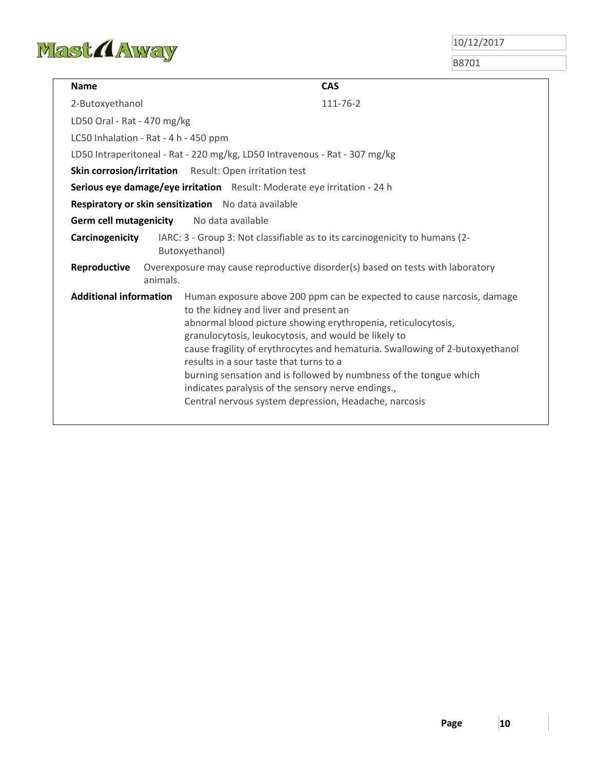

| <b>Name</b>                                                              | <b>CAS</b>                                                                                                                                                                                                                                                                                                                                                                                                                                                                                                                                               |  |  |  |
|--------------------------------------------------------------------------|----------------------------------------------------------------------------------------------------------------------------------------------------------------------------------------------------------------------------------------------------------------------------------------------------------------------------------------------------------------------------------------------------------------------------------------------------------------------------------------------------------------------------------------------------------|--|--|--|
| 2-Butoxyethanol                                                          | 111-76-2                                                                                                                                                                                                                                                                                                                                                                                                                                                                                                                                                 |  |  |  |
| LD50 Oral - Rat - 470 mg/kg                                              |                                                                                                                                                                                                                                                                                                                                                                                                                                                                                                                                                          |  |  |  |
| LC50 Inhalation - Rat - 4 h - 450 ppm                                    |                                                                                                                                                                                                                                                                                                                                                                                                                                                                                                                                                          |  |  |  |
|                                                                          | LD50 Intraperitoneal - Rat - 220 mg/kg, LD50 Intravenous - Rat - 307 mg/kg                                                                                                                                                                                                                                                                                                                                                                                                                                                                               |  |  |  |
|                                                                          | Skin corrosion/irritation Result: Open irritation test                                                                                                                                                                                                                                                                                                                                                                                                                                                                                                   |  |  |  |
| Serious eye damage/eye irritation Result: Moderate eye irritation - 24 h |                                                                                                                                                                                                                                                                                                                                                                                                                                                                                                                                                          |  |  |  |
| Respiratory or skin sensitization No data available                      |                                                                                                                                                                                                                                                                                                                                                                                                                                                                                                                                                          |  |  |  |
| <b>Germ cell mutagenicity</b>                                            | No data available                                                                                                                                                                                                                                                                                                                                                                                                                                                                                                                                        |  |  |  |
| Carcinogenicity                                                          | IARC: 3 - Group 3: Not classifiable as to its carcinogenicity to humans (2-<br>Butoxyethanol)                                                                                                                                                                                                                                                                                                                                                                                                                                                            |  |  |  |
| Reproductive<br>animals.                                                 | Overexposure may cause reproductive disorder(s) based on tests with laboratory                                                                                                                                                                                                                                                                                                                                                                                                                                                                           |  |  |  |
| <b>Additional information</b>                                            | Human exposure above 200 ppm can be expected to cause narcosis, damage<br>to the kidney and liver and present an<br>abnormal blood picture showing erythropenia, reticulocytosis,<br>granulocytosis, leukocytosis, and would be likely to<br>cause fragility of erythrocytes and hematuria. Swallowing of 2-butoxyethanol<br>results in a sour taste that turns to a<br>burning sensation and is followed by numbness of the tongue which<br>indicates paralysis of the sensory nerve endings.,<br>Central nervous system depression, Headache, narcosis |  |  |  |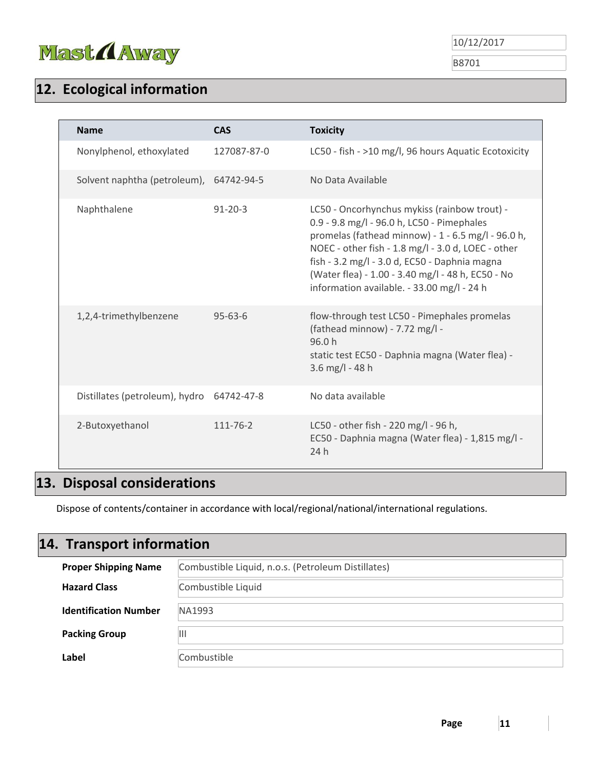

B8701

# **12. Ecological information**

| <b>Name</b>                             | <b>CAS</b>     | <b>Toxicity</b>                                                                                                                                                                                                                                                                                                                                            |
|-----------------------------------------|----------------|------------------------------------------------------------------------------------------------------------------------------------------------------------------------------------------------------------------------------------------------------------------------------------------------------------------------------------------------------------|
| Nonylphenol, ethoxylated                | 127087-87-0    | LC50 - fish - >10 mg/l, 96 hours Aquatic Ecotoxicity                                                                                                                                                                                                                                                                                                       |
| Solvent naphtha (petroleum), 64742-94-5 |                | No Data Available                                                                                                                                                                                                                                                                                                                                          |
| Naphthalene                             | $91 - 20 - 3$  | LC50 - Oncorhynchus mykiss (rainbow trout) -<br>0.9 - 9.8 mg/l - 96.0 h, LC50 - Pimephales<br>promelas (fathead minnow) - 1 - 6.5 mg/l - 96.0 h,<br>NOEC - other fish - 1.8 mg/l - 3.0 d, LOEC - other<br>fish - 3.2 mg/l - 3.0 d, EC50 - Daphnia magna<br>(Water flea) - 1.00 - 3.40 mg/l - 48 h, EC50 - No<br>information available. - 33.00 mg/l - 24 h |
| 1,2,4-trimethylbenzene                  | $95 - 63 - 6$  | flow-through test LC50 - Pimephales promelas<br>(fathead minnow) - 7.72 mg/l -<br>96.0h<br>static test EC50 - Daphnia magna (Water flea) -<br>3.6 mg/l - 48 h                                                                                                                                                                                              |
| Distillates (petroleum), hydro          | 64742-47-8     | No data available                                                                                                                                                                                                                                                                                                                                          |
| 2-Butoxyethanol                         | $111 - 76 - 2$ | LC50 - other fish - 220 mg/l - 96 h,<br>EC50 - Daphnia magna (Water flea) - 1,815 mg/l -<br>24 h                                                                                                                                                                                                                                                           |

## **13. Disposal considerations**

Dispose of contents/container in accordance with local/regional/national/international regulations.

# **Hazard Class** Combustible Liquid **Identification Number** NA1993 **Proper Shipping Name** Combustible Liquid, n.o.s. (Petroleum Distillates) **14. Transport information**

|                      | .           |
|----------------------|-------------|
| <b>Packing Group</b> | Ш           |
| Label                | Combustible |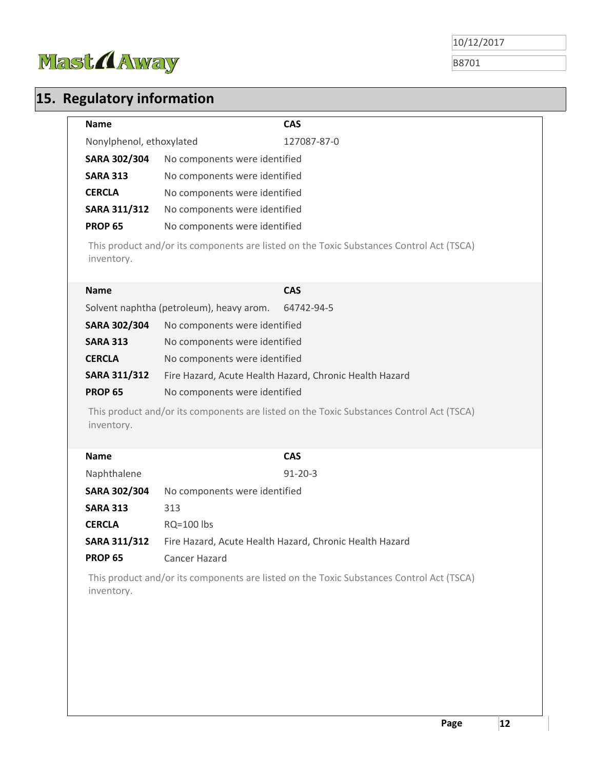

B8701

# **15. Regulatory information**

|                          | <b>CAS</b>                                                                               |
|--------------------------|------------------------------------------------------------------------------------------|
| Nonylphenol, ethoxylated | 127087-87-0                                                                              |
| <b>SARA 302/304</b>      | No components were identified                                                            |
| <b>SARA 313</b>          | No components were identified                                                            |
| <b>CERCLA</b>            | No components were identified                                                            |
| SARA 311/312             | No components were identified                                                            |
| <b>PROP 65</b>           | No components were identified                                                            |
| inventory.               | This product and/or its components are listed on the Toxic Substances Control Act (TSCA) |
| <b>Name</b>              | <b>CAS</b>                                                                               |
|                          | Solvent naphtha (petroleum), heavy arom.<br>64742-94-5                                   |
| <b>SARA 302/304</b>      | No components were identified                                                            |
| <b>SARA 313</b>          | No components were identified                                                            |
| <b>CERCLA</b>            | No components were identified                                                            |
| <b>SARA 311/312</b>      | Fire Hazard, Acute Health Hazard, Chronic Health Hazard                                  |
|                          |                                                                                          |
| <b>PROP 65</b>           | No components were identified                                                            |
| inventory.               | This product and/or its components are listed on the Toxic Substances Control Act (TSCA) |
| <b>Name</b>              | <b>CAS</b>                                                                               |
| Naphthalene              | $91 - 20 - 3$                                                                            |
| SARA 302/304             | No components were identified                                                            |
| <b>SARA 313</b>          | 313                                                                                      |
| <b>CERCLA</b>            | <b>RQ=100 lbs</b>                                                                        |
| <b>SARA 311/312</b>      | Fire Hazard, Acute Health Hazard, Chronic Health Hazard                                  |
| <b>PROP 65</b>           | Cancer Hazard                                                                            |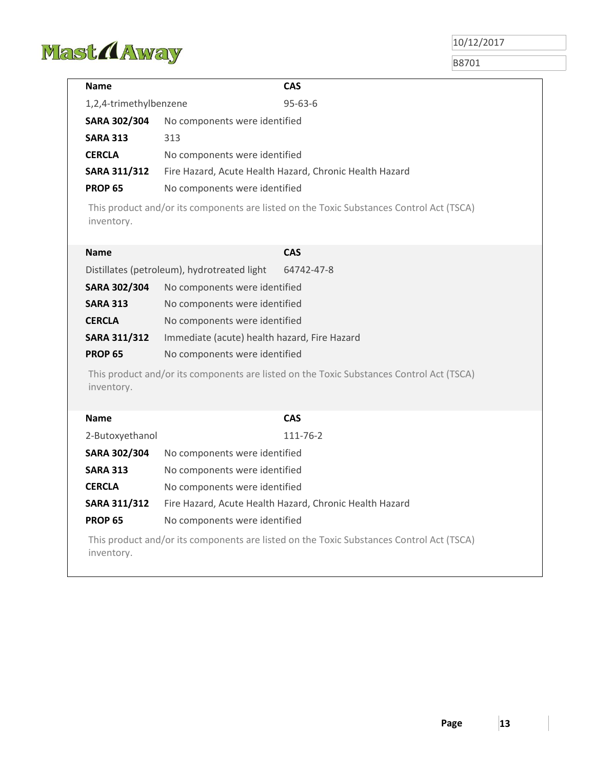

| Name                   | <b>CAS</b>                                                                               |
|------------------------|------------------------------------------------------------------------------------------|
| 1,2,4-trimethylbenzene | $95 - 63 - 6$                                                                            |
| <b>SARA 302/304</b>    | No components were identified                                                            |
| <b>SARA 313</b>        | 313                                                                                      |
| <b>CERCLA</b>          | No components were identified                                                            |
| <b>SARA 311/312</b>    | Fire Hazard, Acute Health Hazard, Chronic Health Hazard                                  |
| <b>PROP 65</b>         | No components were identified                                                            |
| inventory.             | This product and/or its components are listed on the Toxic Substances Control Act (TSCA) |
| <b>Name</b>            | <b>CAS</b>                                                                               |
|                        | Distillates (petroleum), hydrotreated light<br>64742-47-8                                |
| <b>SARA 302/304</b>    | No components were identified                                                            |
| <b>SARA 313</b>        | No components were identified                                                            |
| <b>CERCLA</b>          | No components were identified                                                            |
| <b>SARA 311/312</b>    | Immediate (acute) health hazard, Fire Hazard                                             |
| <b>PROP 65</b>         | No components were identified                                                            |
| inventory.             | This product and/or its components are listed on the Toxic Substances Control Act (TSCA) |
| <b>Name</b>            | <b>CAS</b>                                                                               |
| 2-Butoxyethanol        | 111-76-2                                                                                 |
| <b>SARA 302/304</b>    | No components were identified                                                            |
| <b>SARA 313</b>        | No components were identified                                                            |
| <b>CERCLA</b>          | No components were identified                                                            |
| SARA 311/312           | Fire Hazard, Acute Health Hazard, Chronic Health Hazard                                  |
| <b>PROP 65</b>         | No components were identified                                                            |
| inventory.             | This product and/or its components are listed on the Toxic Substances Control Act (TSCA) |